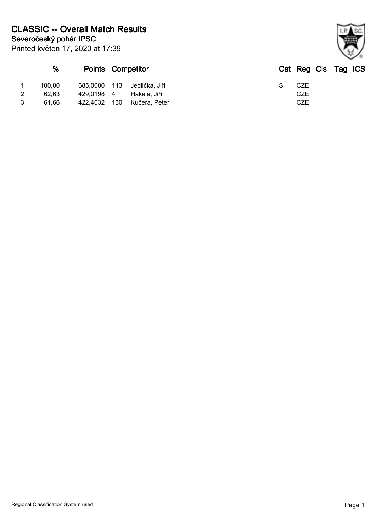|   | %      | <b>Points Competitor</b> |       |                |  | Cat Reg Cls Tag ICS |  |  |
|---|--------|--------------------------|-------|----------------|--|---------------------|--|--|
|   | 100.00 | 685,0000                 | - 113 | Jedlička. Jiří |  | CZE                 |  |  |
|   | 62.63  | 429,0198 4               |       | Hakala, Jiří   |  | CZE                 |  |  |
| 2 | 61.66  | 422,4032                 | 130   | Kučera, Peter  |  | CZE                 |  |  |

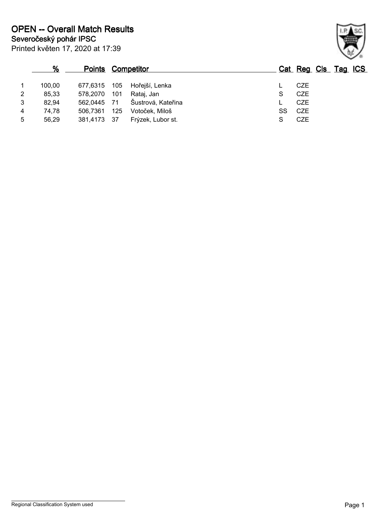|                | %      | <b>Points Competitor</b> |     |                    |    |            | Cat Reg Cls Tag ICS |  |
|----------------|--------|--------------------------|-----|--------------------|----|------------|---------------------|--|
|                | 100.00 | 677,6315                 | 105 | Hořejší, Lenka     |    | <b>CZE</b> |                     |  |
| $\overline{2}$ | 85,33  | 578,2070                 | 101 | Rataj, Jan         | S  | CZE        |                     |  |
| 3              | 82,94  | 562,0445 71              |     | Šustrová, Kateřina |    | <b>CZE</b> |                     |  |
| 4              | 74,78  | 506.7361                 | 125 | Votoček, Miloš     | SS | CZE        |                     |  |
| 5              | 56,29  | 381,4173 37              |     | Frýzek, Lubor st.  | S  | <b>CZE</b> |                     |  |

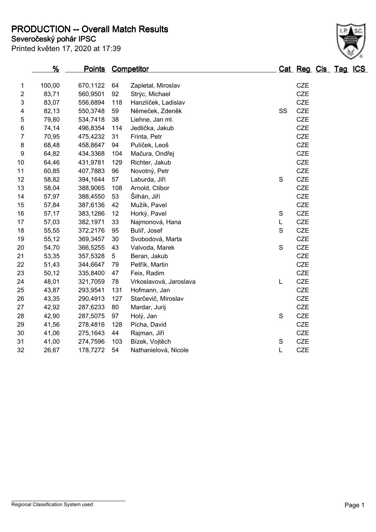**PRODUCTION -- Overall Match Results**

|                                  | -- |  |  |
|----------------------------------|----|--|--|
| Printed květen 17, 2020 at 17:39 |    |  |  |

## **Severočeský pohár IPSC**

| CZE<br>Zapletal, Miroslav<br><b>CZE</b><br><b>CZE</b><br>Hanzlíček, Ladislav<br><b>CZE</b><br>Němeček, Zdeněk<br>SS<br>CZE<br>Liehne, Jan ml.<br><b>CZE</b> |                                                                                                                                                                                                                                                                                                                                                                                                                                                                                                 |
|-------------------------------------------------------------------------------------------------------------------------------------------------------------|-------------------------------------------------------------------------------------------------------------------------------------------------------------------------------------------------------------------------------------------------------------------------------------------------------------------------------------------------------------------------------------------------------------------------------------------------------------------------------------------------|
|                                                                                                                                                             |                                                                                                                                                                                                                                                                                                                                                                                                                                                                                                 |
|                                                                                                                                                             |                                                                                                                                                                                                                                                                                                                                                                                                                                                                                                 |
|                                                                                                                                                             |                                                                                                                                                                                                                                                                                                                                                                                                                                                                                                 |
|                                                                                                                                                             |                                                                                                                                                                                                                                                                                                                                                                                                                                                                                                 |
|                                                                                                                                                             |                                                                                                                                                                                                                                                                                                                                                                                                                                                                                                 |
|                                                                                                                                                             |                                                                                                                                                                                                                                                                                                                                                                                                                                                                                                 |
|                                                                                                                                                             |                                                                                                                                                                                                                                                                                                                                                                                                                                                                                                 |
|                                                                                                                                                             |                                                                                                                                                                                                                                                                                                                                                                                                                                                                                                 |
|                                                                                                                                                             |                                                                                                                                                                                                                                                                                                                                                                                                                                                                                                 |
|                                                                                                                                                             |                                                                                                                                                                                                                                                                                                                                                                                                                                                                                                 |
|                                                                                                                                                             |                                                                                                                                                                                                                                                                                                                                                                                                                                                                                                 |
| $\mathsf S$                                                                                                                                                 |                                                                                                                                                                                                                                                                                                                                                                                                                                                                                                 |
|                                                                                                                                                             |                                                                                                                                                                                                                                                                                                                                                                                                                                                                                                 |
|                                                                                                                                                             |                                                                                                                                                                                                                                                                                                                                                                                                                                                                                                 |
|                                                                                                                                                             |                                                                                                                                                                                                                                                                                                                                                                                                                                                                                                 |
| ${\mathsf S}$                                                                                                                                               |                                                                                                                                                                                                                                                                                                                                                                                                                                                                                                 |
| L                                                                                                                                                           |                                                                                                                                                                                                                                                                                                                                                                                                                                                                                                 |
| S                                                                                                                                                           |                                                                                                                                                                                                                                                                                                                                                                                                                                                                                                 |
|                                                                                                                                                             |                                                                                                                                                                                                                                                                                                                                                                                                                                                                                                 |
|                                                                                                                                                             |                                                                                                                                                                                                                                                                                                                                                                                                                                                                                                 |
|                                                                                                                                                             |                                                                                                                                                                                                                                                                                                                                                                                                                                                                                                 |
|                                                                                                                                                             |                                                                                                                                                                                                                                                                                                                                                                                                                                                                                                 |
|                                                                                                                                                             |                                                                                                                                                                                                                                                                                                                                                                                                                                                                                                 |
| L                                                                                                                                                           |                                                                                                                                                                                                                                                                                                                                                                                                                                                                                                 |
|                                                                                                                                                             |                                                                                                                                                                                                                                                                                                                                                                                                                                                                                                 |
|                                                                                                                                                             |                                                                                                                                                                                                                                                                                                                                                                                                                                                                                                 |
|                                                                                                                                                             |                                                                                                                                                                                                                                                                                                                                                                                                                                                                                                 |
| ${\mathsf S}$                                                                                                                                               |                                                                                                                                                                                                                                                                                                                                                                                                                                                                                                 |
|                                                                                                                                                             |                                                                                                                                                                                                                                                                                                                                                                                                                                                                                                 |
|                                                                                                                                                             |                                                                                                                                                                                                                                                                                                                                                                                                                                                                                                 |
| $\mathbb S$                                                                                                                                                 |                                                                                                                                                                                                                                                                                                                                                                                                                                                                                                 |
| L                                                                                                                                                           |                                                                                                                                                                                                                                                                                                                                                                                                                                                                                                 |
|                                                                                                                                                             | Jedlička, Jakub<br><b>CZE</b><br><b>CZE</b><br>CZE<br>Mačura, Ondřej<br><b>CZE</b><br><b>CZE</b><br><b>CZE</b><br>CZE<br>CZE<br><b>CZE</b><br><b>CZE</b><br><b>CZE</b><br>Najmonová, Hana<br>CZE<br>CZE<br>Svobodová, Marta<br>$\mathbf S$<br><b>CZE</b><br>Valvoda, Marek<br><b>CZE</b><br><b>CZE</b><br>CZE<br><b>CZE</b><br>Vrkoslavová, Jaroslava<br><b>CZE</b><br><b>CZE</b><br>Starčevič, Miroslav<br><b>CZE</b><br>CZE<br>CZE<br><b>CZE</b><br><b>CZE</b><br>CZE<br>Nathanielová, Nicole |

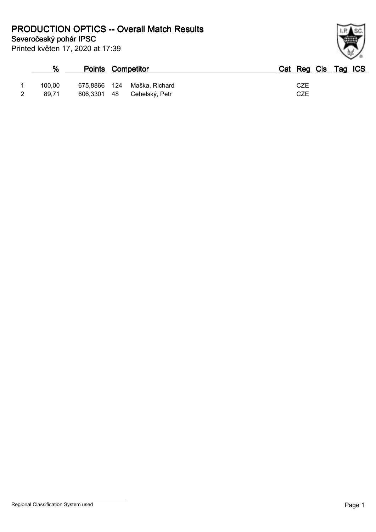**Severočeský pohár IPSC PRODUCTION OPTICS -- Overall Match Results**

Printed květen 17, 2020 at 17:39

## **% Points Competitor Cat Reg Cls Tag ICS** 1 100,00 675,8866 124 Maška, Richard CZE 2 89,71 606,3301 48 Cehelský, Petr CZE

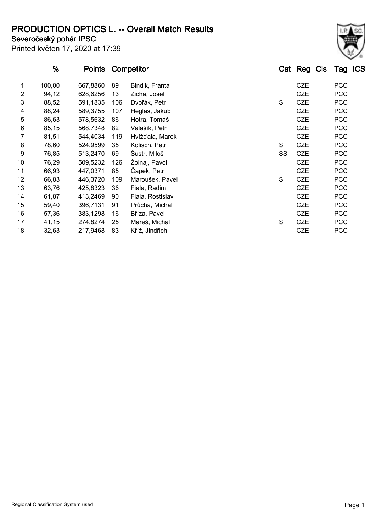## **PRODUCTION OPTICS L. -- Overall Match Results**

**Severočeský pohár IPSC**

Printed květen 17, 2020 at 17:39

|                | %      | <b>Points</b> |     | <b>Competitor</b> |    | Cat Reg Cls Tag ICS |            |
|----------------|--------|---------------|-----|-------------------|----|---------------------|------------|
| 1              | 100,00 | 667,8860      | 89  | Bindik, Franta    |    | <b>CZE</b>          | <b>PCC</b> |
| $\overline{2}$ | 94,12  | 628,6256      | 13  | Zicha, Josef      |    | <b>CZE</b>          | <b>PCC</b> |
| 3              | 88,52  | 591,1835      | 106 | Dvořák, Petr      | S  | <b>CZE</b>          | <b>PCC</b> |
| 4              | 88,24  | 589,3755      | 107 | Heglas, Jakub     |    | <b>CZE</b>          | <b>PCC</b> |
| 5              | 86,63  | 578,5632      | 86  | Hotra, Tomáš      |    | <b>CZE</b>          | <b>PCC</b> |
| 6              | 85,15  | 568,7348      | 82  | Valašík, Petr     |    | <b>CZE</b>          | <b>PCC</b> |
| 7              | 81,51  | 544,4034      | 119 | Hvížďala, Marek   |    | <b>CZE</b>          | <b>PCC</b> |
| 8              | 78,60  | 524,9599      | 35  | Kolisch, Petr     | S  | <b>CZE</b>          | <b>PCC</b> |
| 9              | 76,85  | 513,2470      | 69  | Šustr, Miloš      | SS | <b>CZE</b>          | <b>PCC</b> |
| 10             | 76,29  | 509,5232      | 126 | Žolnaj, Pavol     |    | <b>CZE</b>          | <b>PCC</b> |
| 11             | 66,93  | 447,0371      | 85  | Čapek, Petr       |    | <b>CZE</b>          | <b>PCC</b> |
| 12             | 66,83  | 446,3720      | 109 | Maroušek, Pavel   | S  | <b>CZE</b>          | <b>PCC</b> |
| 13             | 63,76  | 425,8323      | 36  | Fiala, Radim      |    | <b>CZE</b>          | <b>PCC</b> |
| 14             | 61,87  | 413,2469      | 90  | Fiala, Rostislav  |    | <b>CZE</b>          | <b>PCC</b> |
| 15             | 59,40  | 396,7131      | 91  | Průcha, Michal    |    | <b>CZE</b>          | <b>PCC</b> |
| 16             | 57,36  | 383,1298      | 16  | Bříza, Pavel      |    | <b>CZE</b>          | <b>PCC</b> |
| 17             | 41,15  | 274,8274      | 25  | Mareš, Michal     | S  | <b>CZE</b>          | <b>PCC</b> |

32,63 217,9468 83 Kříž, Jindřich CZE PCC

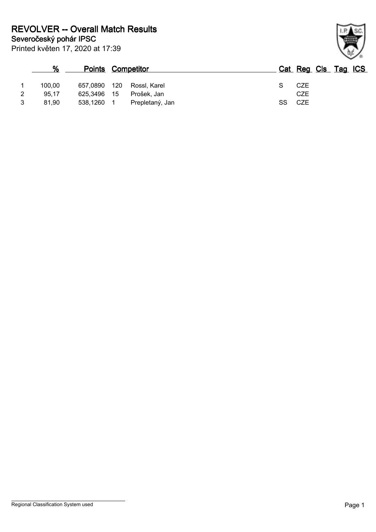|   | %      | <b>Points Competitor</b> |                 |    | Cat Reg Cls Tag ICS |  |  |
|---|--------|--------------------------|-----------------|----|---------------------|--|--|
|   | 100,00 | 657,0890 120             | Rossl. Karel    |    | CZE                 |  |  |
| 2 | 95.17  | 625,3496 15              | Prošek, Jan     |    | CZE                 |  |  |
| 3 | 81.90  | 538,1260 1               | Prepletaný, Jan | SS | CZE                 |  |  |

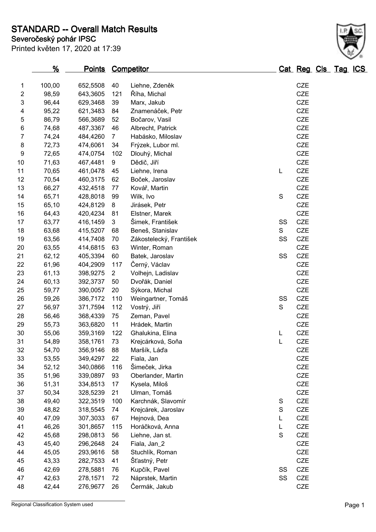**Severočeský pohár IPSC STANDARD -- Overall Match Results**

| Printed květen 17, 2020 at 17:39 |  |  |  |  |
|----------------------------------|--|--|--|--|
|----------------------------------|--|--|--|--|

|                  | <u>%</u> | <b>Points Competitor</b> |                |                         |    | <u> Cat Reg Cls Tag ICS</u> |  |  |
|------------------|----------|--------------------------|----------------|-------------------------|----|-----------------------------|--|--|
| 1                | 100,00   | 652,5508                 | 40             | Liehne, Zdeněk          |    | <b>CZE</b>                  |  |  |
| 2                | 98,59    | 643,3605                 | 121            | Říha, Michal            |    | CZE                         |  |  |
| 3                | 96,44    | 629,3468                 | 39             | Marx, Jakub             |    | <b>CZE</b>                  |  |  |
| 4                | 95,22    | 621,3483                 | 84             | Znamenáček, Petr        |    | <b>CZE</b>                  |  |  |
| $\mathbf 5$      | 86,79    | 566,3689                 | 52             | Bočarov, Vasil          |    | <b>CZE</b>                  |  |  |
| 6                | 74,68    | 487,3367                 | 46             | Albrecht, Patrick       |    | <b>CZE</b>                  |  |  |
| 7                | 74,24    | 484,4260                 | $\overline{7}$ | Habásko, Miloslav       |    | <b>CZE</b>                  |  |  |
| 8                | 72,73    | 474,6061                 | 34             | Frýzek, Lubor ml.       |    | CZE                         |  |  |
| $\boldsymbol{9}$ | 72,65    | 474,0754                 | 102            | Dlouhý, Michal          |    | <b>CZE</b>                  |  |  |
| 10               | 71,63    | 467,4481                 | 9              | Dědič, Jiří             |    | CZE                         |  |  |
| 11               | 70,65    | 461,0478                 | 45             | Liehne, Irena           | L  | CZE                         |  |  |
| 12               | 70,54    | 460,3175                 | 62             | Boček, Jaroslav         |    | CZE                         |  |  |
| 13               | 66,27    | 432,4518                 | 77             | Kovář, Martin           |    | <b>CZE</b>                  |  |  |
| 14               | 65,71    | 428,8018                 | 99             | Wilk, Ivo               | S  | CZE                         |  |  |
| 15               | 65,10    | 424,8129                 | 8              | Jirásek, Petr           |    | <b>CZE</b>                  |  |  |
| 16               | 64,43    | 420,4234                 | 81             | Elstner, Marek          |    | CZE                         |  |  |
| 17               | 63,77    | 416,1459                 | 3              | Šimek, František        | SS | <b>CZE</b>                  |  |  |
| 18               | 63,68    | 415,5207                 | 68             | Beneš, Stanislav        | S  | CZE                         |  |  |
| 19               | 63,56    | 414,7408                 | 70             | Zákostelecký, František | SS | CZE                         |  |  |
| 20               | 63,55    | 414,6815                 | 63             | Winter, Roman           |    | <b>CZE</b>                  |  |  |
| 21               | 62,12    | 405,3394                 | 60             | Batek, Jaroslav         | SS | CZE                         |  |  |
| 22               | 61,96    | 404,2909                 | 117            | Černý, Václav           |    | <b>CZE</b>                  |  |  |
| 23               | 61,13    | 398,9275                 | $\overline{2}$ | Volhejn, Ladislav       |    | <b>CZE</b>                  |  |  |
| 24               | 60,13    | 392,3737                 | 50             | Dvořák, Daniel          |    | CZE                         |  |  |
| 25               | 59,77    | 390,0057                 | 20             | Sýkora, Michal          |    | <b>CZE</b>                  |  |  |
| 26               | 59,26    | 386,7172                 | 110            | Weingartner, Tomáš      | SS | <b>CZE</b>                  |  |  |
| 27               | 56,97    | 371,7594                 | 112            | Vostrý, Jiří            | S  | CZE                         |  |  |
| 28               | 56,46    | 368,4339                 | 75             | Zeman, Pavel            |    | CZE                         |  |  |
| 29               | 55,73    | 363,6820                 | 11             | Hrádek, Martin          |    | <b>CZE</b>                  |  |  |
| 30               | 55,06    | 359,3169                 | 122            | Ghalukina, Elina        | L  | CZE                         |  |  |
| 31               | 54,89    | 358,1761                 | 73             | Krejcárková, Soňa       | L  | CZE                         |  |  |
| 32               | 54,70    | 356,9146                 | 88             | Maršík, Láďa            |    | <b>CZE</b>                  |  |  |
| 33               | 53,55    | 349,4297                 | 22             | Fiala, Jan              |    | <b>CZE</b>                  |  |  |
| 34               | 52,12    | 340,0866                 | 116            | Šimeček, Jirka          |    | CZE                         |  |  |
| 35               | 51,96    | 339,0897                 | 93             | Oberlander, Martin      |    | CZE                         |  |  |
| 36               | 51,31    | 334,8513                 | 17             | Kysela, Miloš           |    | CZE                         |  |  |
| 37               | 50,34    | 328,5239                 | 21             | Ulman, Tomáš            |    | CZE                         |  |  |
| 38               | 49,40    | 322,3519                 | 100            | Karchnák, Slavomír      | S  | <b>CZE</b>                  |  |  |
| 39               | 48,82    | 318,5545                 | 74             | Krejcárek, Jaroslav     | S  | <b>CZE</b>                  |  |  |
| 40               | 47,09    | 307,3033                 | 67             | Hejnová, Dea            | L  | <b>CZE</b>                  |  |  |
| 41               | 46,26    | 301,8657                 | 115            | Horáčková, Anna         | L  | <b>CZE</b>                  |  |  |
| 42               | 45,68    | 298,0813                 | 56             | Liehne, Jan st.         | S  | CZE                         |  |  |
| 43               | 45,40    | 296,2648                 | 24             | Fiala, Jan_2            |    | CZE                         |  |  |
| 44               | 45,05    | 293,9616                 | 58             | Stuchlík, Roman         |    | CZE                         |  |  |
| 45               | 43,33    | 282,7533                 | 41             | Šťastný, Petr           |    | CZE                         |  |  |
| 46               | 42,69    | 278,5881                 | 76             | Kupčík, Pavel           | SS | CZE                         |  |  |
| 47               | 42,63    | 278,1571                 | 72             | Náprstek, Martin        | SS | <b>CZE</b>                  |  |  |
| 48               | 42,44    | 276,9677                 | 26             | Čermák, Jakub           |    | CZE                         |  |  |
|                  |          |                          |                |                         |    |                             |  |  |